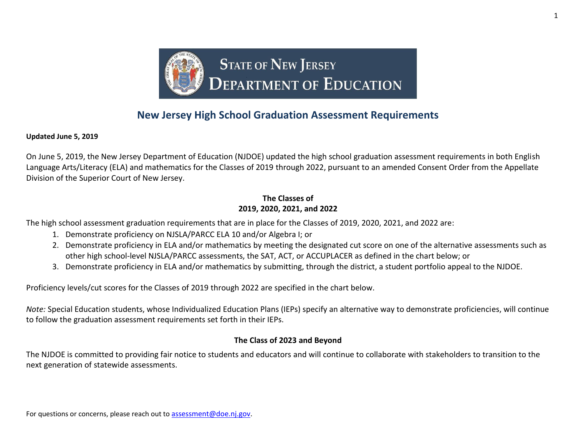

## **New Jersey High School Graduation Assessment Requirements**

**Updated June 5, 2019** 

On June 5, 2019, the New Jersey Department of Education (NJDOE) updated the high school graduation assessment requirements in both English Language Arts/Literacy (ELA) and mathematics for the Classes of 2019 through 2022, pursuant to an amended Consent Order from the Appellate Division of the Superior Court of New Jersey.

## **The Classes of 2019, 2020, 2021, and 2022**

The high school assessment graduation requirements that are in place for the Classes of 2019, 2020, 2021, and 2022 are:

- 1. Demonstrate proficiency on NJSLA/PARCC ELA 10 and/or Algebra I; or
- 2. Demonstrate proficiency in ELA and/or mathematics by meeting the designated cut score on one of the alternative assessments such as other high school-level NJSLA/PARCC assessments, the SAT, ACT, or ACCUPLACER as defined in the chart below; or
- 3. Demonstrate proficiency in ELA and/or mathematics by submitting, through the district, a student portfolio appeal to the NJDOE.

Proficiency levels/cut scores for the Classes of 2019 through 2022 are specified in the chart below.

*Note:* Special Education students, whose Individualized Education Plans (IEPs) specify an alternative way to demonstrate proficiencies, will continue to follow the graduation assessment requirements set forth in their IEPs.

## **The Class of 2023 and Beyond**

The NJDOE is committed to providing fair notice to students and educators and will continue to collaborate with stakeholders to transition to the next generation of statewide assessments.